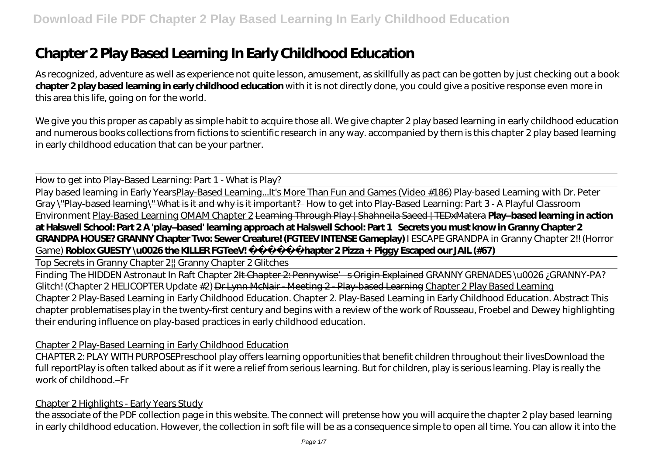# **Chapter 2 Play Based Learning In Early Childhood Education**

As recognized, adventure as well as experience not quite lesson, amusement, as skillfully as pact can be gotten by just checking out a book **chapter 2 play based learning in early childhood education** with it is not directly done, you could give a positive response even more in this area this life, going on for the world.

We give you this proper as capably as simple habit to acquire those all. We give chapter 2 play based learning in early childhood education and numerous books collections from fictions to scientific research in any way. accompanied by them is this chapter 2 play based learning in early childhood education that can be your partner.

How to get into Play-Based Learning: Part 1 - What is Play?

Play based learning in Early YearsPlay-Based Learning...It's More Than Fun and Games (Video #186) *Play-based Learning with Dr. Peter Gray* \"Play-based learning\" What is it and why is it important? *How to get into Play-Based Learning: Part 3 - A Playful Classroom Environment* Play-Based Learning OMAM Chapter 2 Learning Through Play | Shahneila Saeed | TEDxMatera **Play–based learning in action at Halswell School: Part 2 A 'play–based' learning approach at Halswell School: Part 1 Secrets you must know in Granny Chapter 2 GRANDPA HOUSE? GRANNY Chapter Two: Sewer Creature! (FGTEEV INTENSE Gameplay)** I ESCAPE GRANDPA in Granny Chapter 2!! (Horror Game) **Roblox GUESTY \u0026 the KILLER FGTeeV!** Chapter 2 Pizza + Piggy Escaped our JAIL (#67)

Top Secrets in Granny Chapter 2|| Granny Chapter 2 Glitches

Finding The HIDDEN Astronaut In Raft Chapter 2H Chapter 2: Pennywise' sOrigin Explained *GRANNY GRENADES \u0026 ; GRANNY-PA? Glitch! (Chapter 2 HELICOPTER Update #2)* Dr Lynn McNair - Meeting 2 - Play-based Learning Chapter 2 Play Based Learning Chapter 2 Play-Based Learning in Early Childhood Education. Chapter 2. Play-Based Learning in Early Childhood Education. Abstract This chapter problematises play in the twenty-first century and begins with a review of the work of Rousseau, Froebel and Dewey highlighting their enduring influence on play-based practices in early childhood education.

#### Chapter 2 Play-Based Learning in Early Childhood Education

CHAPTER 2: PLAY WITH PURPOSEPreschool play offers learning opportunities that benefit children throughout their livesDownload the full reportPlay is often talked about as if it were a relief from serious learning. But for children, play is serious learning. Play is really the work of childhood.–Fr

#### Chapter 2 Highlights - Early Years Study

the associate of the PDF collection page in this website. The connect will pretense how you will acquire the chapter 2 play based learning in early childhood education. However, the collection in soft file will be as a consequence simple to open all time. You can allow it into the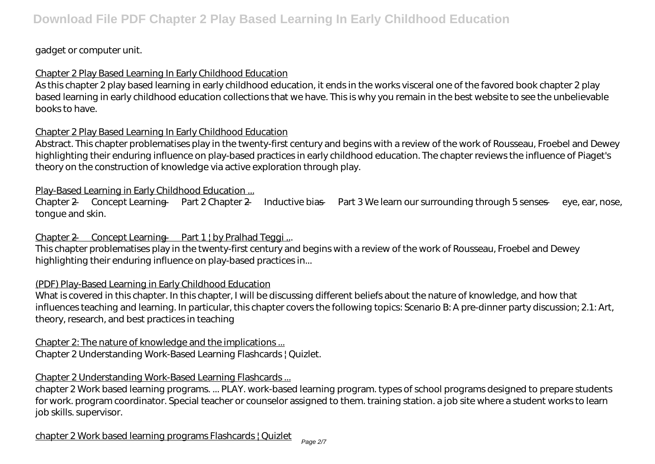## gadget or computer unit.

## Chapter 2 Play Based Learning In Early Childhood Education

As this chapter 2 play based learning in early childhood education, it ends in the works visceral one of the favored book chapter 2 play based learning in early childhood education collections that we have. This is why you remain in the best website to see the unbelievable books to have.

### Chapter 2 Play Based Learning In Early Childhood Education

Abstract. This chapter problematises play in the twenty-first century and begins with a review of the work of Rousseau, Froebel and Dewey highlighting their enduring influence on play-based practices in early childhood education. The chapter reviews the influence of Piaget's theory on the construction of knowledge via active exploration through play.

### Play-Based Learning in Early Childhood Education ...

Chapter 2 — Concept Learning — Part 2 Chapter 2 — Inductive bias — Part 3 We learn our surrounding through 5 senses — eye, ear, nose, tongue and skin.

## Chapter 2 — Concept Learning — Part 1 | by Pralhad Teggi ...

This chapter problematises play in the twenty-first century and begins with a review of the work of Rousseau, Froebel and Dewey highlighting their enduring influence on play-based practices in...

#### (PDF) Play-Based Learning in Early Childhood Education

What is covered in this chapter. In this chapter, I will be discussing different beliefs about the nature of knowledge, and how that influences teaching and learning. In particular, this chapter covers the following topics: Scenario B: A pre-dinner party discussion; 2.1: Art, theory, research, and best practices in teaching

# Chapter 2: The nature of knowledge and the implications ...

Chapter 2 Understanding Work-Based Learning Flashcards | Quizlet.

## Chapter 2 Understanding Work-Based Learning Flashcards ...

chapter 2 Work based learning programs. ... PLAY. work-based learning program. types of school programs designed to prepare students for work. program coordinator. Special teacher or counselor assigned to them. training station. a job site where a student works to learn job skills. supervisor.

chapter 2 Work based learning programs Flashcards | Quizlet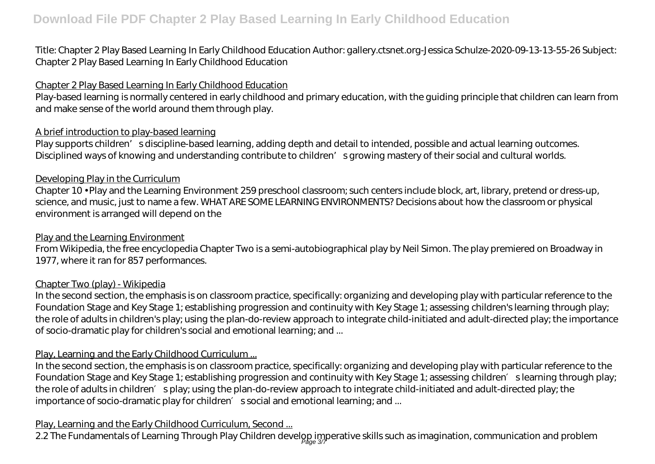Title: Chapter 2 Play Based Learning In Early Childhood Education Author: gallery.ctsnet.org-Jessica Schulze-2020-09-13-13-55-26 Subject: Chapter 2 Play Based Learning In Early Childhood Education

### Chapter 2 Play Based Learning In Early Childhood Education

Play-based learning is normally centered in early childhood and primary education, with the guiding principle that children can learn from and make sense of the world around them through play.

### A brief introduction to play-based learning

Play supports children' sdiscipline-based learning, adding depth and detail to intended, possible and actual learning outcomes. Disciplined ways of knowing and understanding contribute to children' s growing mastery of their social and cultural worlds.

#### Developing Play in the Curriculum

Chapter 10 • Play and the Learning Environment 259 preschool classroom; such centers include block, art, library, pretend or dress-up, science, and music, just to name a few. WHAT ARE SOME LEARNING ENVIRONMENTS? Decisions about how the classroom or physical environment is arranged will depend on the

#### Play and the Learning Environment

From Wikipedia, the free encyclopedia Chapter Two is a semi-autobiographical play by Neil Simon. The play premiered on Broadway in 1977, where it ran for 857 performances.

#### Chapter Two (play) - Wikipedia

In the second section, the emphasis is on classroom practice, specifically: organizing and developing play with particular reference to the Foundation Stage and Key Stage 1; establishing progression and continuity with Key Stage 1; assessing children's learning through play; the role of adults in children's play; using the plan-do-review approach to integrate child-initiated and adult-directed play; the importance of socio-dramatic play for children's social and emotional learning; and ...

#### Play, Learning and the Early Childhood Curriculum ...

In the second section, the emphasis is on classroom practice, specifically: organizing and developing play with particular reference to the Foundation Stage and Key Stage 1; establishing progression and continuity with Key Stage 1; assessing children slearning through play; the role of adults in children splay; using the plan-do-review approach to integrate child-initiated and adult-directed play; the importance of socio-dramatic play for children s social and emotional learning; and ...

#### Play, Learning and the Early Childhood Curriculum, Second ...

2.2 The Fundamentals of Learning Through Play Children develop imperative skills such as imagination, communication and problem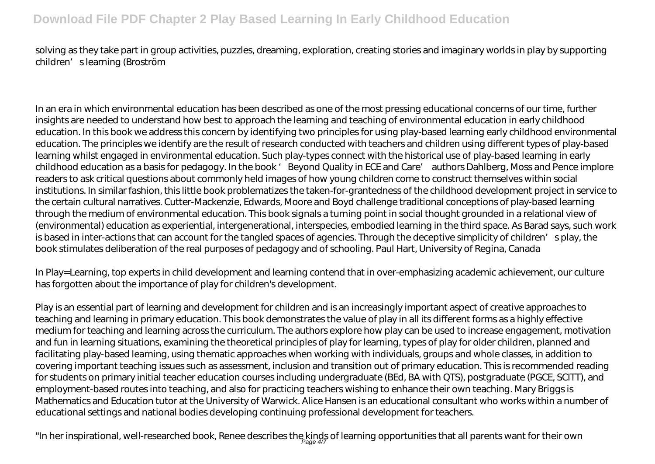## **Download File PDF Chapter 2 Play Based Learning In Early Childhood Education**

solving as they take part in group activities, puzzles, dreaming, exploration, creating stories and imaginary worlds in play by supporting children's learning (Broström

In an era in which environmental education has been described as one of the most pressing educational concerns of our time, further insights are needed to understand how best to approach the learning and teaching of environmental education in early childhood education. In this book we address this concern by identifying two principles for using play-based learning early childhood environmental education. The principles we identify are the result of research conducted with teachers and children using different types of play-based learning whilst engaged in environmental education. Such play-types connect with the historical use of play-based learning in early childhood education as a basis for pedagogy. In the book 'Beyond Quality in ECE and Care' authors Dahlberg, Moss and Pence implore readers to ask critical questions about commonly held images of how young children come to construct themselves within social institutions. In similar fashion, this little book problematizes the taken-for-grantedness of the childhood development project in service to the certain cultural narratives. Cutter-Mackenzie, Edwards, Moore and Boyd challenge traditional conceptions of play-based learning through the medium of environmental education. This book signals a turning point in social thought grounded in a relational view of (environmental) education as experiential, intergenerational, interspecies, embodied learning in the third space. As Barad says, such work is based in inter-actions that can account for the tangled spaces of agencies. Through the deceptive simplicity of children's play, the book stimulates deliberation of the real purposes of pedagogy and of schooling. Paul Hart, University of Regina, Canada

In Play=Learning, top experts in child development and learning contend that in over-emphasizing academic achievement, our culture has forgotten about the importance of play for children's development.

Play is an essential part of learning and development for children and is an increasingly important aspect of creative approaches to teaching and learning in primary education. This book demonstrates the value of play in all its different forms as a highly effective medium for teaching and learning across the curriculum. The authors explore how play can be used to increase engagement, motivation and fun in learning situations, examining the theoretical principles of play for learning, types of play for older children, planned and facilitating play-based learning, using thematic approaches when working with individuals, groups and whole classes, in addition to covering important teaching issues such as assessment, inclusion and transition out of primary education. This is recommended reading for students on primary initial teacher education courses including undergraduate (BEd, BA with QTS), postgraduate (PGCE, SCITT), and employment-based routes into teaching, and also for practicing teachers wishing to enhance their own teaching. Mary Briggs is Mathematics and Education tutor at the University of Warwick. Alice Hansen is an educational consultant who works within a number of educational settings and national bodies developing continuing professional development for teachers.

"In her inspirational, well-researched book, Renee describes the kinds of learning opportunities that all parents want for their own<br>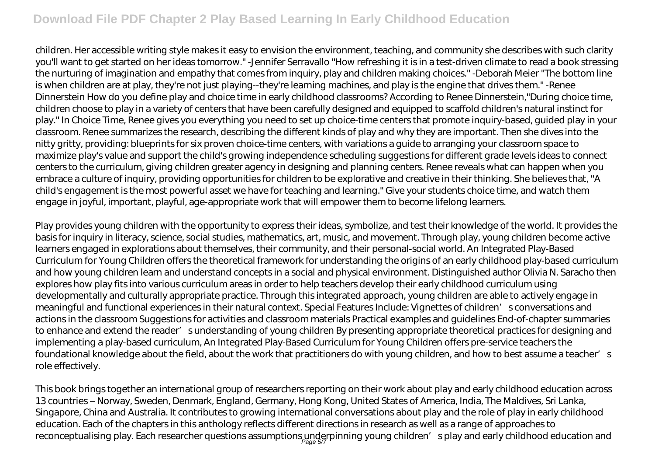## **Download File PDF Chapter 2 Play Based Learning In Early Childhood Education**

children. Her accessible writing style makes it easy to envision the environment, teaching, and community she describes with such clarity you'll want to get started on her ideas tomorrow." -Jennifer Serravallo "How refreshing it is in a test-driven climate to read a book stressing the nurturing of imagination and empathy that comes from inquiry, play and children making choices." -Deborah Meier "The bottom line is when children are at play, they're not just playing--they're learning machines, and play is the engine that drives them." -Renee Dinnerstein How do you define play and choice time in early childhood classrooms? According to Renee Dinnerstein,"During choice time, children choose to play in a variety of centers that have been carefully designed and equipped to scaffold children's natural instinct for play." In Choice Time, Renee gives you everything you need to set up choice-time centers that promote inquiry-based, guided play in your classroom. Renee summarizes the research, describing the different kinds of play and why they are important. Then she dives into the nitty gritty, providing: blueprints for six proven choice-time centers, with variations a guide to arranging your classroom space to maximize play's value and support the child's growing independence scheduling suggestions for different grade levels ideas to connect centers to the curriculum, giving children greater agency in designing and planning centers. Renee reveals what can happen when you embrace a culture of inquiry, providing opportunities for children to be explorative and creative in their thinking. She believes that, "A child's engagement is the most powerful asset we have for teaching and learning." Give your students choice time, and watch them engage in joyful, important, playful, age-appropriate work that will empower them to become lifelong learners.

Play provides young children with the opportunity to express their ideas, symbolize, and test their knowledge of the world. It provides the basis for inquiry in literacy, science, social studies, mathematics, art, music, and movement. Through play, young children become active learners engaged in explorations about themselves, their community, and their personal-social world. An Integrated Play-Based Curriculum for Young Children offers the theoretical framework for understanding the origins of an early childhood play-based curriculum and how young children learn and understand concepts in a social and physical environment. Distinguished author Olivia N. Saracho then explores how play fits into various curriculum areas in order to help teachers develop their early childhood curriculum using developmentally and culturally appropriate practice. Through this integrated approach, young children are able to actively engage in meaningful and functional experiences in their natural context. Special Features Include: Vignettes of children's conversations and actions in the classroom Suggestions for activities and classroom materials Practical examples and guidelines End-of-chapter summaries to enhance and extend the reader' sunderstanding of young children By presenting appropriate theoretical practices for designing and implementing a play-based curriculum, An Integrated Play-Based Curriculum for Young Children offers pre-service teachers the foundational knowledge about the field, about the work that practitioners do with young children, and how to best assume a teacher's role effectively.

This book brings together an international group of researchers reporting on their work about play and early childhood education across 13 countries – Norway, Sweden, Denmark, England, Germany, Hong Kong, United States of America, India, The Maldives, Sri Lanka, Singapore, China and Australia. It contributes to growing international conversations about play and the role of play in early childhood education. Each of the chapters in this anthology reflects different directions in research as well as a range of approaches to reconceptualising play. Each researcher questions assumptions underpinning young children′s play and early childhood education and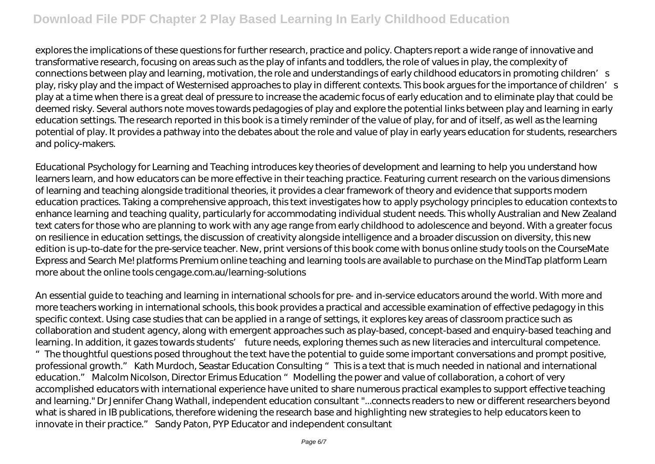explores the implications of these questions for further research, practice and policy. Chapters report a wide range of innovative and transformative research, focusing on areas such as the play of infants and toddlers, the role of values in play, the complexity of connections between play and learning, motivation, the role and understandings of early childhood educators in promoting children's play, risky play and the impact of Westernised approaches to play in different contexts. This book argues for the importance of children's play at a time when there is a great deal of pressure to increase the academic focus of early education and to eliminate play that could be deemed risky. Several authors note moves towards pedagogies of play and explore the potential links between play and learning in early education settings. The research reported in this book is a timely reminder of the value of play, for and of itself, as well as the learning potential of play. It provides a pathway into the debates about the role and value of play in early years education for students, researchers and policy-makers.

Educational Psychology for Learning and Teaching introduces key theories of development and learning to help you understand how learners learn, and how educators can be more effective in their teaching practice. Featuring current research on the various dimensions of learning and teaching alongside traditional theories, it provides a clear framework of theory and evidence that supports modern education practices. Taking a comprehensive approach, this text investigates how to apply psychology principles to education contexts to enhance learning and teaching quality, particularly for accommodating individual student needs. This wholly Australian and New Zealand text caters for those who are planning to work with any age range from early childhood to adolescence and beyond. With a greater focus on resilience in education settings, the discussion of creativity alongside intelligence and a broader discussion on diversity, this new edition is up-to-date for the pre-service teacher. New, print versions of this book come with bonus online study tools on the CourseMate Express and Search Me! platforms Premium online teaching and learning tools are available to purchase on the MindTap platform Learn more about the online tools cengage.com.au/learning-solutions

An essential guide to teaching and learning in international schools for pre- and in-service educators around the world. With more and more teachers working in international schools, this book provides a practical and accessible examination of effective pedagogy in this specific context. Using case studies that can be applied in a range of settings, it explores key areas of classroom practice such as collaboration and student agency, along with emergent approaches such as play-based, concept-based and enquiry-based teaching and learning. In addition, it gazes towards students' future needs, exploring themes such as new literacies and intercultural competence. "The thoughtful questions posed throughout the text have the potential to guide some important conversations and prompt positive, professional growth." Kath Murdoch, Seastar Education Consulting "This is a text that is much needed in national and international education." Malcolm Nicolson, Director Erimus Education "Modelling the power and value of collaboration, a cohort of very accomplished educators with international experience have united to share numerous practical examples to support effective teaching and learning." Dr Jennifer Chang Wathall, independent education consultant "...connects readers to new or different researchers beyond what is shared in IB publications, therefore widening the research base and highlighting new strategies to help educators keen to innovate in their practice." Sandy Paton, PYP Educator and independent consultant